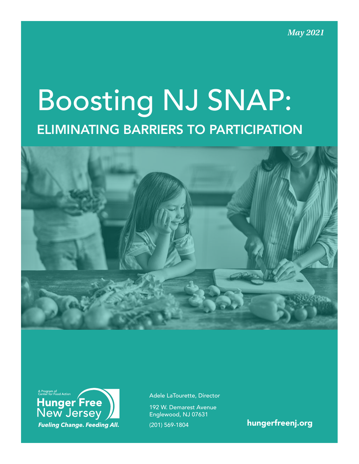*May 2021*

# Boosting NJ SNAP: ELIMINATING BARRIERS TO PARTICIPATION





Adele LaTourette, Director

192 W. Demarest Avenue Englewood, NJ 07631

(201) 569-1804 [hungerfreenj.org](http://hungerfreenj.org)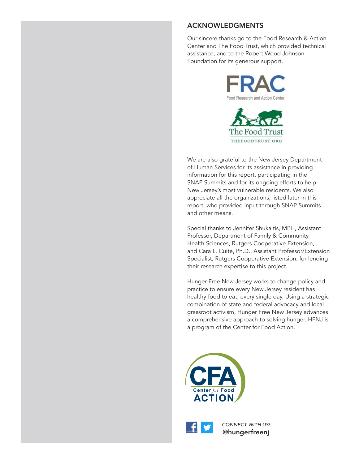## ACKNOWLEDGMENTS

Our sincere thanks go to the Food Research & Action Center and The Food Trust, which provided technical assistance, and to the Robert Wood Johnson Foundation for its generous support.





We are also grateful to the New Jersey Department of Human Services for its assistance in providing information for this report, participating in the SNAP Summits and for its ongoing efforts to help New Jersey's most vulnerable residents. We also appreciate all the organizations, listed later in this report, who provided input through SNAP Summits and other means.

Special thanks to Jennifer Shukaitis, MPH, Assistant Professor, Department of Family & Community Health Sciences, Rutgers Cooperative Extension, and Cara L. Cuite, Ph.D., Assistant Professor/Extension Specialist, Rutgers Cooperative Extension, for lending their research expertise to this project.

Hunger Free New Jersey works to change policy and practice to ensure every New Jersey resident has healthy food to eat, every single day. Using a strategic combination of state and federal advocacy and local grassroot activism, Hunger Free New Jersey advances a comprehensive approach to solving hunger. HFNJ is a program of the Center for Food Action.





*CONNECT WITH US!*  @hungerfreenj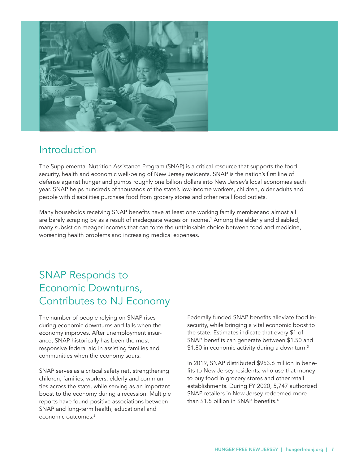<span id="page-2-0"></span>

# Introduction

The Supplemental Nutrition Assistance Program (SNAP) is a critical resource that supports the food security, health and economic well-being of New Jersey residents. SNAP is the nation's first line of defense against hunger and pumps roughly one billion dollars into New Jersey's local economies each year. SNAP helps hundreds of thousands of the state's low-income workers, children, older adults and people with disabilities purchase food from grocery stores and other retail food outlets.

Many households receiving SNAP benefits have at least one working family member and almost all are barely scraping by as a result of inadequate wages or income.<sup>1</sup> Among the elderly and disabled, many subsist on meager incomes that can force the unthinkable choice between food and medicine, worsening health problems and increasing medical expenses.

# SNAP Responds to Economic Downturns, Contributes to NJ Economy

The number of people relying on SNAP rises during economic downturns and falls when the economy improves. After unemployment insurance, SNAP historically has been the most responsive federal aid in assisting families and communities when the economy sours.

SNAP serves as a critical safety net, strengthening children, families, workers, elderly and communities across the state, while serving as an important boost to the economy during a recession. Multiple reports have found positive associations between SNAP and long-term health, educational and economic outcomes.<sup>2</sup>

Federally funded SNAP benefits alleviate food insecurity, while bringing a vital economic boost to the state. Estimates indicate that every \$1 of SNAP benefits can generate between \$1.50 and \$1.80 in economic activity during a downturn.<sup>3</sup>

In 2019, SNAP distributed \$953.6 million in benefits to New Jersey residents, who use that money to buy food in grocery stores and other retail establishments. During FY 2020, 5,747 authorized SNAP retailers in New Jersey redeemed more than \$1.5 billion in SNAP benefits[.4](#page-18-0)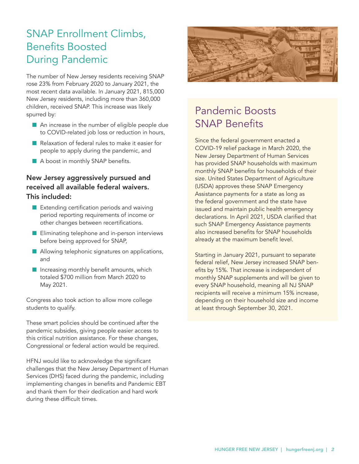# SNAP Enrollment Climbs, Benefits Boosted During Pandemic

The number of New Jersey residents receiving SNAP rose 23% from February 2020 to January 2021, the most recent data available. In January 2021, 815,000 New Jersey residents, including more than 360,000 children, received SNAP. This increase was likely spurred by:

- $\blacksquare$  An increase in the number of eligible people due to COVID-related job loss or reduction in hours,
- $\blacksquare$  Relaxation of federal rules to make it easier for people to apply during the pandemic, and
- A boost in monthly SNAP benefits.

# New Jersey aggressively pursued and received all available federal waivers. This included:

- $\blacksquare$  Extending certification periods and waiving period reporting requirements of income or other changes between recertifications.
- **n** Eliminating telephone and in-person interviews before being approved for SNAP,
- $\blacksquare$  Allowing telephonic signatures on applications, and
- $\blacksquare$  Increasing monthly benefit amounts, which totaled \$700 million from March 2020 to May 2021.

Congress also took action to allow more college students to qualify.

These smart policies should be continued after the pandemic subsides, giving people easier access to this critical nutrition assistance. For these changes, Congressional or federal action would be required.

HFNJ would like to acknowledge the significant challenges that the New Jersey Department of Human Services (DHS) faced during the pandemic, including implementing changes in benefits and Pandemic EBT and thank them for their dedication and hard work during these difficult times.



# Pandemic Boosts SNAP Benefits

Since the federal government enacted a COVID-19 relief package in March 2020, the New Jersey Department of Human Services has provided SNAP households with maximum monthly SNAP benefits for households of their size. United States Department of Agriculture (USDA) approves these SNAP Emergency Assistance payments for a state as long as the federal government and the state have issued and maintain public health emergency declarations. In April 2021, USDA clarified that such SNAP Emergency Assistance payments also increased benefits for SNAP households already at the maximum benefit level.

Starting in January 2021, pursuant to separate federal relief, New Jersey increased SNAP benefits by 15%. That increase is independent of monthly SNAP supplements and will be given to every SNAP household, meaning all NJ SNAP recipients will receive a minimum 15% increase, depending on their household size and income at least through September 30, 2021.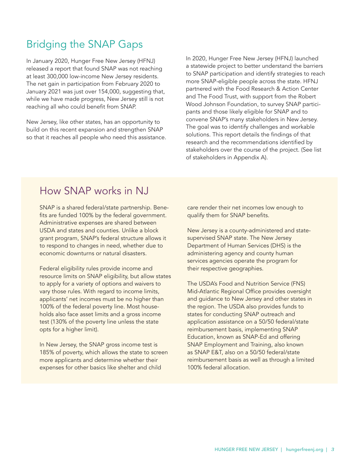# Bridging the SNAP Gaps

In January 2020, Hunger Free New Jersey (HFNJ) released a report that found SNAP was not reaching at least 300,000 low-income New Jersey residents. The net gain in participation from February 2020 to January 2021 was just over 154,000, suggesting that, while we have made progress, New Jersey still is not reaching all who could benefit from SNAP.

New Jersey, like other states, has an opportunity to build on this recent expansion and strengthen SNAP so that it reaches all people who need this assistance.

In 2020, Hunger Free New Jersey (HFNJ) launched a statewide project to better understand the barriers to SNAP participation and identify strategies to reach more SNAP-eligible people across the state. HFNJ partnered with the Food Research & Action Center and The Food Trust, with support from the Robert Wood Johnson Foundation, to survey SNAP participants and those likely eligible for SNAP and to convene SNAP's many stakeholders in New Jersey. The goal was to identify challenges and workable solutions. This report details the findings of that research and the recommendations identified by stakeholders over the course of the project. (See list of stakeholders in Appendix A).

# How SNAP works in NJ

SNAP is a shared federal/state partnership. Benefits are funded 100% by the federal government. Administrative expenses are shared between USDA and states and counties. Unlike a block grant program, SNAP's federal structure allows it to respond to changes in need, whether due to economic downturns or natural disasters.

Federal eligibility rules provide income and resource limits on SNAP eligibility, but allow states to apply for a variety of options and waivers to vary those rules. With regard to income limits, applicants' net incomes must be no higher than 100% of the federal poverty line. Most households also face asset limits and a gross income test (130% of the poverty line unless the state opts for a higher limit).

In New Jersey, the SNAP gross income test is 185% of poverty, which allows the state to screen more applicants and determine whether their expenses for other basics like shelter and child

care render their net incomes low enough to qualify them for SNAP benefits.

New Jersey is a county-administered and statesupervised SNAP state. The New Jersey Department of Human Services (DHS) is the administering agency and county human services agencies operate the program for their respective geographies.

The USDA's Food and Nutrition Service (FNS) Mid-Atlantic Regional Office provides oversight and guidance to New Jersey and other states in the region. The USDA also provides funds to states for conducting SNAP outreach and application assistance on a 50/50 federal/state reimbursement basis, implementing SNAP Education, known as SNAP-Ed and offering SNAP Employment and Training, also known as SNAP E&T, also on a 50/50 federal/state reimbursement basis as well as through a limited 100% federal allocation.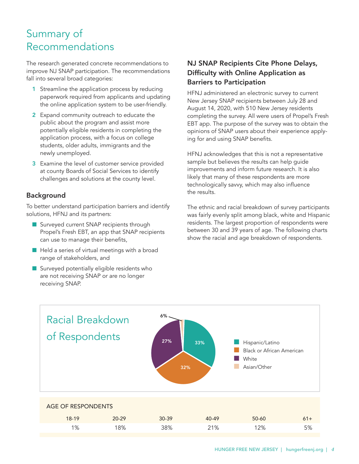# Summary of Recommendations

The research generated concrete recommendations to improve NJ SNAP participation. The recommendations fall into several broad categories:

- 1 Streamline the application process by reducing paperwork required from applicants and updating the online application system to be user-friendly.
- 2 Expand community outreach to educate the public about the program and assist more potentially eligible residents in completing the application process, with a focus on college students, older adults, immigrants and the newly unemployed.
- **3** Examine the level of customer service provided at county Boards of Social Services to identify challenges and solutions at the county level.

# Background

To better understand participation barriers and identify solutions, HFNJ and its partners:

- Surveyed current SNAP recipients through Propel's Fresh EBT, an app that SNAP recipients can use to manage their benefits,
- $\blacksquare$  Held a series of virtual meetings with a broad range of stakeholders, and
- $\blacksquare$  Surveyed potentially eligible residents who are not receiving SNAP or are no longer receiving SNAP.

# NJ SNAP Recipients Cite Phone Delays, Difficulty with Online Application as Barriers to Participation

HFNJ administered an electronic survey to current New Jersey SNAP recipients between July 28 and August 14, 2020, with 510 New Jersey residents completing the survey. All were users of Propel's Fresh EBT app. The purpose of the survey was to obtain the opinions of SNAP users about their experience applying for and using SNAP benefits.

HFNJ acknowledges that this is not a representative sample but believes the results can help guide improvements and inform future research. It is also likely that many of these respondents are more technologically savvy, which may also influence the results.

The ethnic and racial breakdown of survey participants was fairly evenly split among black, white and Hispanic residents. The largest proportion of respondents were between 30 and 39 years of age. The following charts show the racial and age breakdown of respondents.

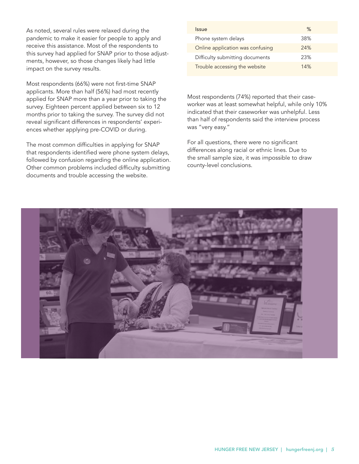As noted, several rules were relaxed during the pandemic to make it easier for people to apply and receive this assistance. Most of the respondents to this survey had applied for SNAP prior to those adjustments, however, so those changes likely had little impact on the survey results.

Most respondents (66%) were not first-time SNAP applicants. More than half (56%) had most recently applied for SNAP more than a year prior to taking the survey. Eighteen percent applied between six to 12 months prior to taking the survey. The survey did not reveal significant differences in respondents' experiences whether applying pre-COVID or during.

The most common difficulties in applying for SNAP that respondents identified were phone system delays, followed by confusion regarding the online application. Other common problems included difficulty submitting documents and trouble accessing the website.

| <i><u><b>Issue</b></u></i>       | ℅   |
|----------------------------------|-----|
| Phone system delays              | 38% |
| Online application was confusing | 24% |
| Difficulty submitting documents  | 23% |
| Trouble accessing the website    | 14% |

Most respondents (74%) reported that their caseworker was at least somewhat helpful, while only 10% indicated that their caseworker was unhelpful. Less than half of respondents said the interview process was "very easy."

For all questions, there were no significant differences along racial or ethnic lines. Due to the small sample size, it was impossible to draw county-level conclusions.

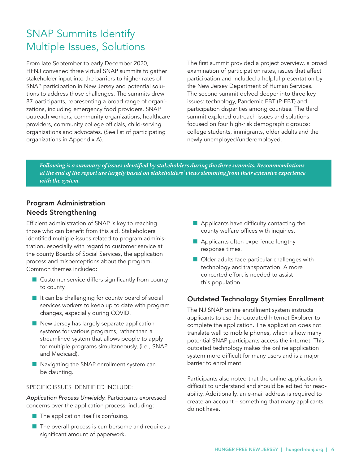# SNAP Summits Identify Multiple Issues, Solutions

From late September to early December 2020, HFNJ convened three virtual SNAP summits to gather stakeholder input into the barriers to higher rates of SNAP participation in New Jersey and potential solutions to address those challenges. The summits drew 87 participants, representing a broad range of organizations, including emergency food providers, SNAP outreach workers, community organizations, healthcare providers, community college officials, child-serving organizations and advocates. (See list of participating organizations in Appendix A).

The first summit provided a project overview, a broad examination of participation rates, issues that affect participation and included a helpful presentation by the New Jersey Department of Human Services. The second summit delved deeper into three key issues: technology, Pandemic EBT (P-EBT) and participation disparities among counties. The third summit explored outreach issues and solutions focused on four high-risk demographic groups: college students, immigrants, older adults and the newly unemployed/underemployed.

*Following is a summary of issues identified by stakeholders during the three summits. Recommendations at the end of the report are largely based on stakeholders' views stemming from their extensive experience with the system.*

# Program Administration Needs Strengthening

Efficient administration of SNAP is key to reaching those who can benefit from this aid. Stakeholders identified multiple issues related to program administration, especially with regard to customer service at the county Boards of Social Services, the application process and misperceptions about the program. Common themes included:

- $\blacksquare$  Customer service differs significantly from county to county.
- $\blacksquare$  It can be challenging for county board of social services workers to keep up to date with program changes, especially during COVID.
- $\blacksquare$  New Jersey has largely separate application systems for various programs, rather than a streamlined system that allows people to apply for multiple programs simultaneously, (i.e., SNAP and Medicaid).
- $\blacksquare$  Navigating the SNAP enrollment system can be daunting.

#### SPECIFIC ISSUES IDENTIFIED INCLUDE:

*Application Process Unwieldy.* Participants expressed concerns over the application process, including:

- $\blacksquare$  The application itself is confusing.
- $\blacksquare$  The overall process is cumbersome and requires a significant amount of paperwork.
- $\blacksquare$  Applicants have difficulty contacting the county welfare offices with inquiries.
- Applicants often experience lengthy response times.
- $\blacksquare$  Older adults face particular challenges with technology and transportation. A more concerted effort is needed to assist this population.

## Outdated Technology Stymies Enrollment

The NJ SNAP online enrollment system instructs applicants to use the outdated Internet Explorer to complete the application. The application does not translate well to mobile phones, which is how many potential SNAP participants access the internet. This outdated technology makes the online application system more difficult for many users and is a major barrier to enrollment.

Participants also noted that the online application is difficult to understand and should be edited for readability. Additionally, an e-mail address is required to create an account – something that many applicants do not have.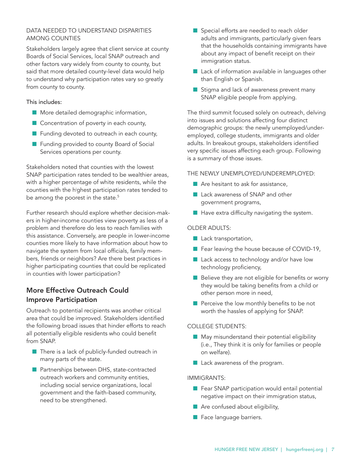## <span id="page-8-0"></span>DATA NEEDED TO UNDERSTAND DISPARITIES AMONG COUNTIES

Stakeholders largely agree that client service at county Boards of Social Services, local SNAP outreach and other factors vary widely from county to county, but said that more detailed county-level data would help to understand why participation rates vary so greatly from county to county.

#### This includes:

- **n** More detailed demographic information,
- $\blacksquare$  Concentration of poverty in each county,
- $\blacksquare$  Funding devoted to outreach in each county,
- **n** Funding provided to county Board of Social Services operations per county.

Stakeholders noted that counties with the lowest SNAP participation rates tended to be wealthier areas, with a higher percentage of white residents, while the counties with the hi ghest participation rates tended to be among the poorest in the state.<sup>5</sup>

Further research should explore whether decision-makers in higher-income counties view poverty as less of a problem and therefore do less to reach families with this assistance. Conversely, are people in lower-income counties more likely to have information about how to navigate the system from local officials, family members, friends or neighbors? Are there best practices in higher participating counties that could be replicated in counties with lower participation?

# More Effective Outreach Could Improve Participation

Outreach to potential recipients was another critical area that could be improved. Stakeholders identified the following broad issues that hinder efforts to reach all potentially eligible residents who could benefit from SNAP.

- $\blacksquare$  There is a lack of publicly-funded outreach in many parts of the state.
- **n** Partnerships between DHS, state-contracted outreach workers and community entities, including social service organizations, local government and the faith-based community, need to be strengthened.
- Special efforts are needed to reach older adults and immigrants, particularly given fears that the households containing immigrants have about any impact of benefit receipt on their immigration status.
- $\blacksquare$  Lack of information available in languages other than English or Spanish.
- Stigma and lack of awareness prevent many SNAP eligible people from applying.

The third summit focused solely on outreach, delving into issues and solutions affecting four distinct demographic groups: the newly unemployed/underemployed, college students, immigrants and older adults. In breakout groups, stakeholders identified very specific issues affecting each group. Following is a summary of those issues.

## THE NEWLY UNEMPLOYED/UNDEREMPLOYED:

- $\blacksquare$  Are hesitant to ask for assistance,
- Lack awareness of SNAP and other government programs,
- $\blacksquare$  Have extra difficulty navigating the system.

#### OLDER ADULTS:

- **n** Lack transportation,
- Fear leaving the house because of COVID-19,
- $\blacksquare$  Lack access to technology and/or have low technology proficiency,
- $\blacksquare$  Believe they are not eligible for benefits or worry they would be taking benefits from a child or other person more in need,
- $\blacksquare$  Perceive the low monthly benefits to be not worth the hassles of applying for SNAP.

#### COLLEGE STUDENTS:

- $\blacksquare$  May misunderstand their potential eligibility (i.e., They think it is only for families or people on welfare).
- $\blacksquare$  Lack awareness of the program.

#### IMMIGRANTS:

- $\blacksquare$  Fear SNAP participation would entail potential negative impact on their immigration status,
- $\blacksquare$  Are confused about eligibility,
- **n** Face language barriers.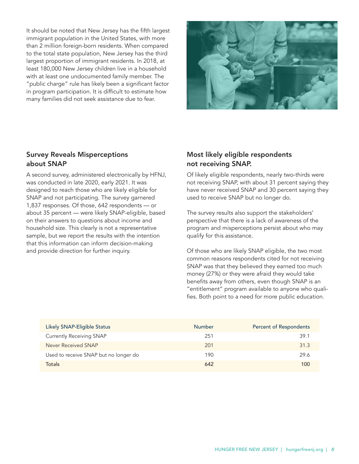It should be noted that New Jersey has the fifth largest immigrant population in the United States, with more than 2 million foreign-born residents. When compared to the total state population, New Jersey has the third largest proportion of immigrant residents. In 2018, at least 180,000 New Jersey children live in a household with at least one undocumented family member. The "public charge" rule has likely been a significant factor in program participation. It is difficult to estimate how many families did not seek assistance due to fear.



## Survey Reveals Misperceptions about SNAP

A second survey, administered electronically by HFNJ, was conducted in late 2020, early 2021. It was designed to reach those who are likely eligible for SNAP and not participating. The survey garnered 1,837 responses. Of those, 642 respondents — or about 35 percent — were likely SNAP-eligible, based on their answers to questions about income and household size. This clearly is not a representative sample, but we report the results with the intention that this information can inform decision-making and provide direction for further inquiry.

# Most likely eligible respondents not receiving SNAP.

Of likely eligible respondents, nearly two-thirds were not receiving SNAP, with about 31 percent saying they have never received SNAP and 30 percent saying they used to receive SNAP but no longer do.

The survey results also support the stakeholders' perspective that there is a lack of awareness of the program and misperceptions persist about who may qualify for this assistance.

Of those who are likely SNAP eligible, the two most common reasons respondents cited for not receiving SNAP was that they believed they earned too much money (27%) or they were afraid they would take benefits away from others, even though SNAP is an "entitlement" program available to anyone who qualifies. Both point to a need for more public education.

| Likely SNAP-Eligible Status           | <b>Number</b> | <b>Percent of Respondents</b> |
|---------------------------------------|---------------|-------------------------------|
| <b>Currently Receiving SNAP</b>       | 251           | 39.1                          |
| Never Received SNAP                   | 201           | 31.3                          |
| Used to receive SNAP but no longer do | 190           | 29.6                          |
| <b>Totals</b>                         | 642           | 100                           |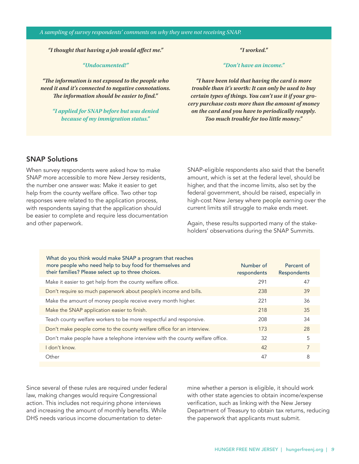*"I thought that having a job would affect me."*

#### *"Undocumented!"*

*"The information is not exposed to the people who need it and it's connected to negative connotations. The information should be easier to find.''*

*"I applied for SNAP before but was denied because of my immigration status."*

*"I worked."*

*"Don't have an income."*

*"I have been told that having the card is more trouble than it's worth: It can only be used to buy certain types of things. You can't use it if your grocery purchase costs more than the amount of money on the card and you have to periodically reapply. Too much trouble for too little money."*

## SNAP Solutions

When survey respondents were asked how to make SNAP more accessible to more New Jersey residents, the number one answer was: Make it easier to get help from the county welfare office. Two other top responses were related to the application process, with respondents saying that the application should be easier to complete and require less documentation and other paperwork.

SNAP-eligible respondents also said that the benefit amount, which is set at the federal level, should be higher, and that the income limits, also set by the federal government, should be raised, especially in high-cost New Jersey where people earning over the current limits still struggle to make ends meet.

Again, these results supported many of the stakeholders' observations during the SNAP Summits.

| What do you think would make SNAP a program that reaches<br>more people who need help to buy food for themselves and<br>their families? Please select up to three choices. | Number of<br>respondents | Percent of<br>Respondents |
|----------------------------------------------------------------------------------------------------------------------------------------------------------------------------|--------------------------|---------------------------|
| Make it easier to get help from the county welfare office.                                                                                                                 | 291                      | 47                        |
| Don't require so much paperwork about people's income and bills.                                                                                                           | 238                      | 39                        |
| Make the amount of money people receive every month higher.                                                                                                                | 221                      | 36                        |
| Make the SNAP application easier to finish.                                                                                                                                | 218                      | 35                        |
| Teach county welfare workers to be more respectful and responsive.                                                                                                         | 208                      | 34                        |
| Don't make people come to the county welfare office for an interview.                                                                                                      | 173                      | 28                        |
| Don't make people have a telephone interview with the county welfare office.                                                                                               | 32                       | 5                         |
| don't know.                                                                                                                                                                | 42                       | 7                         |
| Other                                                                                                                                                                      | 47                       | 8                         |

Since several of these rules are required under federal law, making changes would require Congressional action. This includes not requiring phone interviews and increasing the amount of monthly benefits. While DHS needs various income documentation to deter-

mine whether a person is eligible, it should work with other state agencies to obtain income/expense verification, such as linking with the New Jersey Department of Treasury to obtain tax returns, reducing the paperwork that applicants must submit.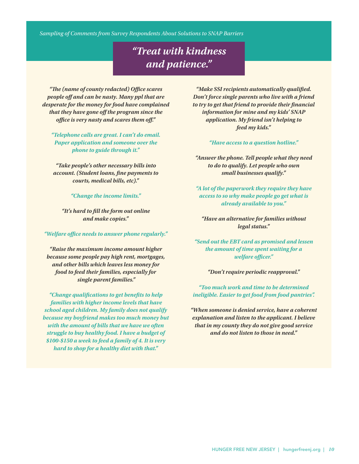*Sampling of Comments from Survey Respondents About Solutions to SNAP Barriers*

# *"Treat with kindness and patience."*

*"The (name of county redacted) Office scares people off and can be nasty. Many ppl that are desperate for the money for food have complained that they have gone off the program since the office is very nasty and scares them off."*

*"Telephone calls are great. I can't do email. Paper application and someone over the phone to guide through it."*

*"Take people's other necessary bills into account. (Student loans, fine payments to courts, medical bills, etc)."*

*"Change the income limits."*

*"It's hard to fill the form out online and make copies."*

*"Welfare office needs to answer phone regularly."*

*"Raise the maximum income amount higher because some people pay high rent, mortgages, and other bills which leaves less money for food to feed their families, especially for single parent families."*

*"Change qualifications to get benefits to help families with higher income levels that have school aged children. My family does not qualify because my boyfriend makes too much money but with the amount of bills that we have we often struggle to buy healthy food. I have a budget of \$100-\$150 a week to feed a family of 4. It is very hard to shop for a healthy diet with that."*

*"Make SSI recipients automatically qualified. Don't force single parents who live with a friend to try to get that friend to provide their financial information for mine and my kids' SNAP application. My friend isn't helping to feed my kids."*

*"Have access to a question hotline."*

*"Answer the phone. Tell people what they need to do to qualify. Let people who own small businesses qualify."*

*"A lot of the paperwork they require they have access to so why make people go get what is already available to you."*

*"Have an alternative for families without legal status."*

*"Send out the EBT card as promised and lessen the amount of time spent waiting for a welfare officer."*

*"Don't require periodic reapproval."*

*"Too much work and time to be determined ineligible. Easier to get food from food pantries".*

*"When someone is denied service, have a coherent explanation and listen to the applicant. I believe that in my county they do not give good service and do not listen to those in need.''*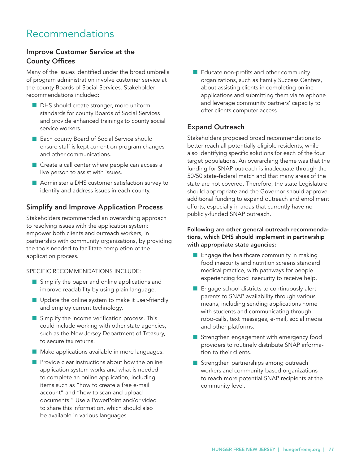# Recommendations

## Improve Customer Service at the County Offices

Many of the issues identified under the broad umbrella of program administration involve customer service at the county Boards of Social Services. Stakeholder recommendations included:

- **DHS** should create stronger, more uniform standards for county Boards of Social Services and provide enhanced trainings to county social service workers.
- Each county Board of Social Service should ensure staff is kept current on program changes and other communications.
- $\blacksquare$  Create a call center where people can access a live person to assist with issues.
- Administer a DHS customer satisfaction survey to identify and address issues in each county.

## Simplify and Improve Application Process

Stakeholders recommended an overarching approach to resolving issues with the application system: empower both clients and outreach workers, in partnership with community organizations, by providing the tools needed to facilitate completion of the application process.

SPECIFIC RECOMMENDATIONS INCLUDE:

- $\blacksquare$  Simplify the paper and online applications and improve readability by using plain language.
- $\blacksquare$  Update the online system to make it user-friendly and employ current technology.
- $\blacksquare$  Simplify the income verification process. This could include working with other state agencies, such as the New Jersey Department of Treasury, to secure tax returns.
- **n** Make applications available in more languages.
- $\blacksquare$  Provide clear instructions about how the online application system works and what is needed to complete an online application, including items such as "how to create a free e-mail account" and "how to scan and upload documents." Use a PowerPoint and/or video to share this information, which should also be available in various languages.

 $\blacksquare$  Educate non-profits and other community organizations, such as Family Success Centers, about assisting clients in completing online applications and submitting them via telephone and leverage community partners' capacity to offer clients computer access.

## Expand Outreach

Stakeholders proposed broad recommendations to better reach all potentially eligible residents, while also identifying specific solutions for each of the four target populations. An overarching theme was that the funding for SNAP outreach is inadequate through the 50/50 state-federal match and that many areas of the state are not covered. Therefore, the state Legislature should appropriate and the Governor should approve additional funding to expand outreach and enrollment efforts, especially in areas that currently have no publicly-funded SNAP outreach.

#### Following are other general outreach recommendations, which DHS should implement in partnership with appropriate state agencies:

- $\blacksquare$  Engage the healthcare community in making food insecurity and nutrition screens standard medical practice, with pathways for people experiencing food insecurity to receive help.
- $\blacksquare$  Engage school districts to continuously alert parents to SNAP availability through various means, including sending applications home with students and communicating through robo-calls, text messages, e-mail, social media and other platforms.
- **n** Strengthen engagement with emergency food providers to routinely distribute SNAP information to their clients.
- **n** Strengthen partnerships among outreach workers and community-based organizations to reach more potential SNAP recipients at the community level.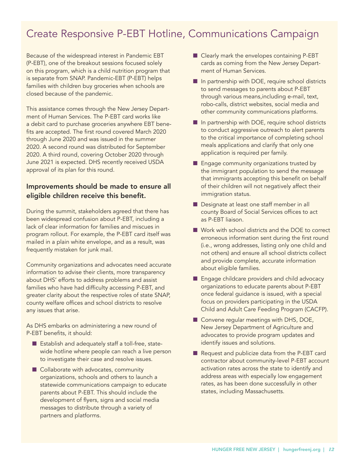# Create Responsive P-EBT Hotline, Communications Campaign

Because of the widespread interest in Pandemic EBT (P-EBT), one of the breakout sessions focused solely on this program, which is a child nutrition program that is separate from SNAP. Pandemic-EBT (P-EBT) helps families with children buy groceries when schools are closed because of the pandemic.

This assistance comes through the New Jersey Department of Human Services. The P-EBT card works like a debit card to purchase groceries anywhere EBT benefits are accepted. The first round covered March 2020 through June 2020 and was issued in the summer 2020. A second round was distributed for September 2020. A third round, covering October 2020 through June 2021 is expected. DHS recently received USDA approval of its plan for this round.

## Improvements should be made to ensure all eligible children receive this benefit.

During the summit, stakeholders agreed that there has been widespread confusion about P-EBT, including a lack of clear information for families and miscues in program rollout. For example, the P-EBT card itself was mailed in a plain white envelope, and as a result, was frequently mistaken for junk mail.

Community organizations and advocates need accurate information to advise their clients, more transparency about DHS' efforts to address problems and assist families who have had difficulty accessing P-EBT, and greater clarity about the respective roles of state SNAP, county welfare offices and school districts to resolve any issues that arise.

As DHS embarks on administering a new round of P-EBT benefits, it should:

- $\blacksquare$  Establish and adequately staff a toll-free, statewide hotline where people can reach a live person to investigate their case and resolve issues.
- $\blacksquare$  Collaborate with advocates, community organizations, schools and others to launch a statewide communications campaign to educate parents about P-EBT. This should include the development of flyers, signs and social media messages to distribute through a variety of partners and platforms.
- $\blacksquare$  Clearly mark the envelopes containing P-EBT cards as coming from the New Jersey Department of Human Services.
- $\blacksquare$  In partnership with DOE, require school districts to send messages to parents about P-EBT through various means,including e-mail, text, robo-calls, district websites, social media and other community communications platforms.
- n In partnership with DOE, require school districts to conduct aggressive outreach to alert parents to the critical importance of completing school meals applications and clarify that only one application is required per family.
- $\blacksquare$  Engage community organizations trusted by the immigrant population to send the message that immigrants accepting this benefit on behalf of their children will not negatively affect their immigration status.
- **n** Designate at least one staff member in all county Board of Social Services offices to act as P-EBT liaison.
- Work with school districts and the DOE to correct erroneous information sent during the first round (i.e., wrong addresses, listing only one child and not others) and ensure all school districts collect and provide complete, accurate information about eligible families.
- **E** Engage childcare providers and child advocacy organizations to educate parents about P-EBT once federal guidance is issued, with a special focus on providers participating in the USDA Child and Adult Care Feeding Program (CACFP).
- $\blacksquare$  Convene regular meetings with DHS, DOE, New Jersey Department of Agriculture and advocates to provide program updates and identify issues and solutions.
- Request and publicize data from the P-EBT card contractor about community-level P-EBT account activation rates across the state to identify and address areas with especially low engagement rates, as has been done successfully in other states, including Massachusetts.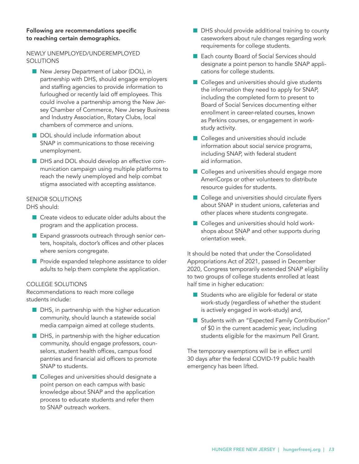#### Following are recommendations specific to reaching certain demographics.

## NEWLY UNEMPLOYED/UNDEREMPLOYED SOLUTIONS

- New Jersey Department of Labor (DOL), in partnership with DHS, should engage employers and staffing agencies to provide information to furloughed or recently laid off employees. This could involve a partnership among the New Jersey Chamber of Commerce, New Jersey Business and Industry Association, Rotary Clubs, local chambers of commerce and unions.
- DOL should include information about SNAP in communications to those receiving unemployment.
- **n** DHS and DOL should develop an effective communication campaign using multiple platforms to reach the newly unemployed and help combat stigma associated with accepting assistance.

#### SENIOR SOLUTIONS

DHS should:

- $\blacksquare$  Create videos to educate older adults about the program and the application process.
- **EXPANDIGE EXPANDIGE SERVICES** CHARGE EXPANDIGE SERVICES ters, hospitals, doctor's offices and other places where seniors congregate.
- **n** Provide expanded telephone assistance to older adults to help them complete the application.

#### COLLEGE SOLUTIONS

Recommendations to reach more college students include:

- $\blacksquare$  DHS, in partnership with the higher education community, should launch a statewide social media campaign aimed at college students.
- $\blacksquare$  DHS, in partnership with the higher education community, should engage professors, counselors, student health offices, campus food pantries and financial aid officers to promote SNAP to students.
- Colleges and universities should designate a point person on each campus with basic knowledge about SNAP and the application process to educate students and refer them to SNAP outreach workers.
- **n** DHS should provide additional training to county caseworkers about rule changes regarding work requirements for college students.
- Each county Board of Social Services should designate a point person to handle SNAP applications for college students.
- Colleges and universities should give students the information they need to apply for SNAP, including the completed form to present to Board of Social Services documenting either enrollment in career-related courses, known as Perkins courses, or engagement in workstudy activity.
- Colleges and universities should include information about social service programs, including SNAP, with federal student aid information.
- Colleges and universities should engage more AmeriCorps or other volunteers to distribute resource guides for students.
- College and universities should circulate flyers about SNAP in student unions, cafeterias and other places where students congregate.
- $\blacksquare$  Colleges and universities should hold workshops about SNAP and other supports during orientation week.

It should be noted that under the Consolidated Appropriations Act of 2021, passed in December 2020, Congress temporarily extended SNAP eligibility to two groups of college students enrolled at least half time in higher education:

- $\blacksquare$  Students who are eligible for federal or state work-study (regardless of whether the student is actively engaged in work-study) and,
- Students with an "Expected Family Contribution" of \$0 in the current academic year, including students eligible for the maximum Pell Grant.

The temporary exemptions will be in effect until 30 days after the federal COVID-19 public health emergency has been lifted.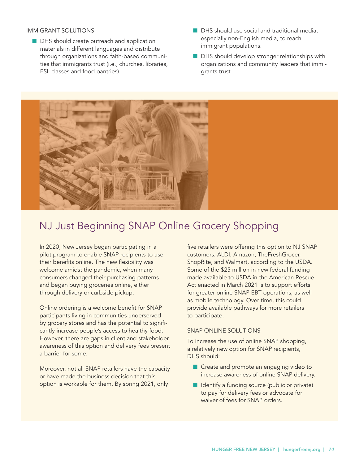#### IMMIGRANT SOLUTIONS

- DHS should create outreach and application materials in different languages and distribute through organizations and faith-based communities that immigrants trust (i.e., churches, libraries, ESL classes and food pantries).
- $\blacksquare$  DHS should use social and traditional media, especially non-English media, to reach immigrant populations.
- **n** DHS should develop stronger relationships with organizations and community leaders that immigrants trust.



# NJ Just Beginning SNAP Online Grocery Shopping

In 2020, New Jersey began participating in a pilot program to enable SNAP recipients to use their benefits online. The new flexibility was welcome amidst the pandemic, when many consumers changed their purchasing patterns and began buying groceries online, either through delivery or curbside pickup.

Online ordering is a welcome benefit for SNAP participants living in communities underserved by grocery stores and has the potential to significantly increase people's access to healthy food. However, there are gaps in client and stakeholder awareness of this option and delivery fees present a barrier for some.

Moreover, not all SNAP retailers have the capacity or have made the business decision that this option is workable for them. By spring 2021, only

five retailers were offering this option to NJ SNAP customers: ALDI, Amazon, TheFreshGrocer, ShopRite, and Walmart, according to the USDA. Some of the \$25 million in new federal funding made available to USDA in the American Rescue Act enacted in March 2021 is to support efforts for greater online SNAP EBT operations, as well as mobile technology. Over time, this could provide available pathways for more retailers to participate.

#### SNAP ONLINE SOLUTIONS

To increase the use of online SNAP shopping, a relatively new option for SNAP recipients, DHS should:

- **n** Create and promote an engaging video to increase awareness of online SNAP delivery.
- $\blacksquare$  Identify a funding source (public or private) to pay for delivery fees or advocate for waiver of fees for SNAP orders.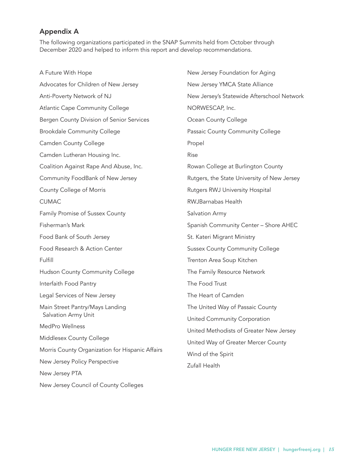## Appendix A

The following organizations participated in the SNAP Summits held from October through December 2020 and helped to inform this report and develop recommendations.

A Future With Hope Advocates for Children of New Jersey Anti-Poverty Network of NJ Atlantic Cape Community College Bergen County Division of Senior Services Brookdale Community College Camden County College Camden Lutheran Housing Inc. Coalition Against Rape And Abuse, Inc. Community FoodBank of New Jersey County College of Morris CUMAC Family Promise of Sussex County Fisherman's Mark Food Bank of South Jersey Food Research & Action Center Fulfill Hudson County Community College Interfaith Food Pantry Legal Services of New Jersey Main Street Pantry/Mays Landing Salvation Army Unit MedPro Wellness Middlesex County College Morris County Organization for Hispanic Affairs New Jersey Policy Perspective New Jersey PTA New Jersey Council of County Colleges New Jersey Foundation for Aging New Jersey YMCA State Alliance New Jersey's Statewide Afterschool Network NORWESCAP, Inc. Ocean County College Passaic County Community College Propel Rise Rowan College at Burlington County Rutgers, the State University of New Jersey Rutgers RWJ University Hospital RWJBarnabas Health Salvation Army Spanish Community Center – Shore AHEC St. Kateri Migrant Ministry Sussex County Community College Trenton Area Soup Kitchen The Family Resource Network The Food Trust The Heart of Camden The United Way of Passaic County United Community Corporation United Methodists of Greater New Jersey United Way of Greater Mercer County Wind of the Spirit Zufall Health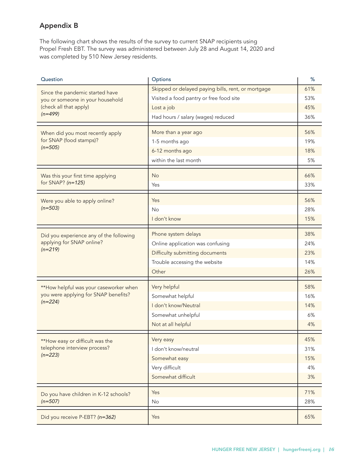# Appendix B

The following chart shows the results of the survey to current SNAP recipients using Propel Fresh EBT. The survey was administered between July 28 and August 14, 2020 and was completed by 510 New Jersey residents.

| Question                                                                                    | Options                                            | %   |
|---------------------------------------------------------------------------------------------|----------------------------------------------------|-----|
| Since the pandemic started have                                                             | Skipped or delayed paying bills, rent, or mortgage | 61% |
| you or someone in your household                                                            | Visited a food pantry or free food site            | 53% |
| (check all that apply)                                                                      | Lost a job                                         | 45% |
| $(n=499)$                                                                                   | Had hours / salary (wages) reduced                 | 36% |
| When did you most recently apply                                                            | More than a year ago                               | 56% |
| for SNAP (food stamps)?                                                                     | 1-5 months ago                                     | 19% |
| $(n=505)$                                                                                   | 6-12 months ago                                    | 18% |
|                                                                                             | within the last month                              | 5%  |
| Was this your first time applying                                                           | <b>No</b>                                          | 66% |
| for SNAP? $(n=125)$                                                                         | Yes                                                | 33% |
|                                                                                             |                                                    |     |
| Were you able to apply online?                                                              | Yes                                                | 56% |
| $(n=503)$                                                                                   | <b>No</b>                                          | 28% |
|                                                                                             | I don't know                                       | 15% |
| Did you experience any of the following<br>applying for SNAP online?<br>$(n=219)$           | Phone system delays                                | 38% |
|                                                                                             | Online application was confusing                   | 24% |
|                                                                                             | Difficulty submitting documents                    | 23% |
|                                                                                             | Trouble accessing the website                      | 14% |
|                                                                                             | Other                                              | 26% |
| **How helpful was your caseworker when<br>you were applying for SNAP benefits?<br>$(n=224)$ | Very helpful                                       | 58% |
|                                                                                             | Somewhat helpful                                   | 16% |
|                                                                                             | I don't know/Neutral                               | 14% |
|                                                                                             | Somewhat unhelpful                                 | 6%  |
|                                                                                             | Not at all helpful                                 | 4%  |
|                                                                                             |                                                    |     |
| **How easy or difficult was the                                                             | Very easy                                          | 45% |
| telephone interview process?<br>$(n=223)$                                                   | I don't know/neutral                               | 31% |
|                                                                                             | Somewhat easy                                      | 15% |
|                                                                                             | Very difficult                                     | 4%  |
|                                                                                             | Somewhat difficult                                 | 3%  |
| Do you have children in K-12 schools?<br>$(n=507)$                                          | Yes                                                | 71% |
|                                                                                             | No                                                 | 28% |
| Did you receive P-EBT? (n=362)                                                              | Yes                                                | 65% |